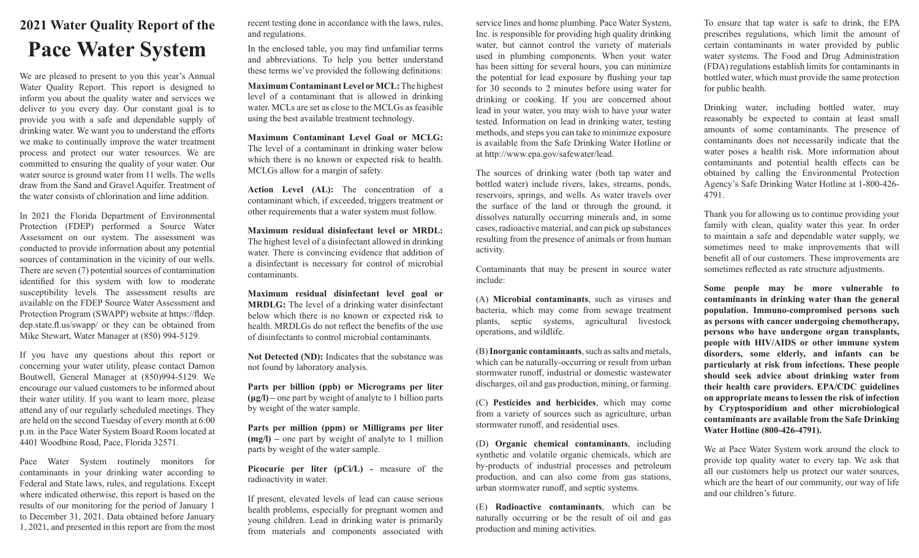## **2021 Water Quality Report of the Pace Water System**

We are pleased to present to you this year's Annual Water Quality Report. This report is designed to inform you about the quality water and services we deliver to you every day. Our constant goal is to provide you with a safe and dependable supply of drinking water. We want you to understand the efforts we make to continually improve the water treatment process and protect our water resources. We are committed to ensuring the quality of your water. Our water source is ground water from 11 wells. The wells draw from the Sand and Gravel Aquifer. Treatment of the water consists of chlorination and lime addition.

In 2021 the Florida Department of Environmental Protection (FDEP) performed a Source Water Assessment on our system. The assessment was conducted to provide information about any potential sources of contamination in the vicinity of our wells. There are seven (7) potential sources of contamination identified for this system with low to moderate susceptibility levels. The assessment results are available on the FDEP Source Water Assessment and Protection Program (SWAPP) website at https://fldep. dep.state.fl.us/swapp/ or they can be obtained from Mike Stewart, Water Manager at (850) 994-5129.

If you have any questions about this report or concerning your water utility, please contact Damon Boutwell, General Manager at (850)994-5129. We encourage our valued customers to be informed about their water utility. If you want to learn more, please attend any of our regularly scheduled meetings. They are held on the second Tuesday of every month at 6:00 p.m. in the Pace Water System Board Room located at 4401 Woodbine Road, Pace, Florida 32571.

Pace Water System routinely monitors for contaminants in your drinking water according to Federal and State laws, rules, and regulations. Except where indicated otherwise, this report is based on the results of our monitoring for the period of January 1 to December 31, 2021. Data obtained before January 1, 2021, and presented in this report are from the most

recent testing done in accordance with the laws, rules, and regulations.

In the enclosed table, you may find unfamiliar terms and abbreviations. To help you better understand these terms we've provided the following definitions:

**Maximum Contaminant Level or MCL:** The highest level of a contaminant that is allowed in drinking water. MCLs are set as close to the MCLGs as feasible using the best available treatment technology.

**Maximum Contaminant Level Goal or MCLG:**  The level of a contaminant in drinking water below which there is no known or expected risk to health. MCLGs allow for a margin of safety.

**Action Level (AL):** The concentration of a contaminant which, if exceeded, triggers treatment or other requirements that a water system must follow.

**Maximum residual disinfectant level or MRDL:**  The highest level of a disinfectant allowed in drinking water. There is convincing evidence that addition of a disinfectant is necessary for control of microbial contaminants.

**Maximum residual disinfectant level goal or MRDLG:** The level of a drinking water disinfectant below which there is no known or expected risk to health. MRDLGs do not reflect the benefits of the use of disinfectants to control microbial contaminants.

**Not Detected (ND):** Indicates that the substance was not found by laboratory analysis.

**Parts per billion (ppb) or Micrograms per liter (μg/l) –** one part by weight of analyte to 1 billion parts by weight of the water sample.

**Parts per million (ppm) or Milligrams per liter (mg/l) –** one part by weight of analyte to 1 million parts by weight of the water sample.

Picocurie per liter (pCi/L) - measure of the radioactivity in water.

If present, elevated levels of lead can cause serious health problems, especially for pregnant women and young children. Lead in drinking water is primarily from materials and components associated with

service lines and home plumbing. Pace Water System, Inc. is responsible for providing high quality drinking water, but cannot control the variety of materials used in plumbing components. When your water has been sitting for several hours, you can minimize the potential for lead exposure by flushing your tap for 30 seconds to 2 minutes before using water for drinking or cooking. If you are concerned about lead in your water, you may wish to have your water tested. Information on lead in drinking water, testing methods, and steps you can take to minimize exposure is available from the Safe Drinking Water Hotline or at http://www.epa.gov/safewater/lead.

The sources of drinking water (both tap water and bottled water) include rivers, lakes, streams, ponds, reservoirs, springs, and wells. As water travels over the surface of the land or through the ground, it dissolves naturally occurring minerals and, in some cases, radioactive material, and can pick up substances resulting from the presence of animals or from human activity.

Contaminants that may be present in source water include:

(A) **Microbial contaminants**, such as viruses and bacteria, which may come from sewage treatment plants, septic systems, agricultural livestock operations, and wildlife.

(B) **Inorganic contaminants**, such as salts and metals, which can be naturally-occurring or result from urban stormwater runoff, industrial or domestic wastewater discharges, oil and gas production, mining, or farming.

(C) **Pesticides and herbicides**, which may come from a variety of sources such as agriculture, urban stormwater runoff, and residential uses.

(D) **Organic chemical contaminants**, including synthetic and volatile organic chemicals, which are by-products of industrial processes and petroleum production, and can also come from gas stations, urban stormwater runoff, and septic systems.

(E) **Radioactive contaminants**, which can be naturally occurring or be the result of oil and gas production and mining activities.

To ensure that tap water is safe to drink, the EPA prescribes regulations, which limit the amount of certain contaminants in water provided by public water systems. The Food and Drug Administration (FDA) regulations establish limits for contaminants in bottled water, which must provide the same protection for public health.

Drinking water, including bottled water, may reasonably be expected to contain at least small amounts of some contaminants. The presence of contaminants does not necessarily indicate that the water poses a health risk. More information about contaminants and potential health effects can be obtained by calling the Environmental Protection Agency's Safe Drinking Water Hotline at 1-800-426- 4791.

Thank you for allowing us to continue providing your family with clean, quality water this year. In order to maintain a safe and dependable water supply, we sometimes need to make improvements that will benefit all of our customers. These improvements are sometimes reflected as rate structure adjustments.

**Some people may be more vulnerable to contaminants in drinking water than the general population. Immuno-compromised persons such as persons with cancer undergoing chemotherapy, persons who have undergone organ transplants, people with HIV/AIDS or other immune system disorders, some elderly, and infants can be particularly at risk from infections. These people should seek advice about drinking water from their health care providers. EPA/CDC guidelines on appropriate means to lessen the risk of infection by Cryptosporidium and other microbiological contaminants are available from the Safe Drinking Water Hotline (800-426-4791).**

We at Pace Water System work around the clock to provide top quality water to every tap. We ask that all our customers help us protect our water sources, which are the heart of our community, our way of life and our children's future.